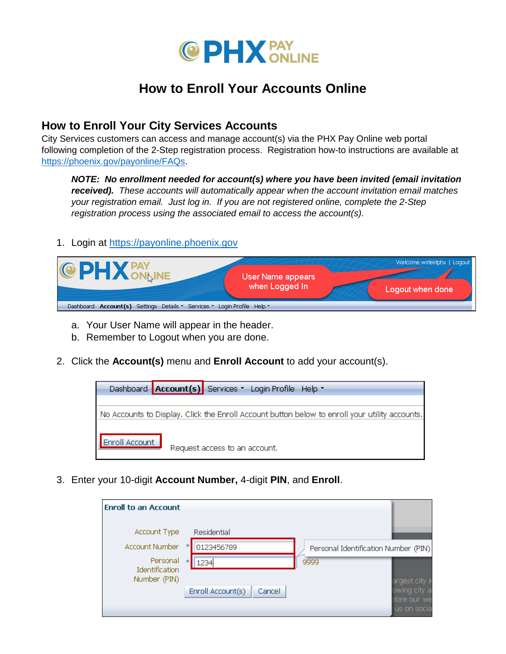

## **How to Enroll Your Accounts Online**

## **How to Enroll Your City Services Accounts**

City Services customers can access and manage account(s) via the PHX Pay Online web portal following completion of the 2-Step registration process. Registration how-to instructions are available at [https://phoenix.gov/payonline/FAQs.](https://phoenix.gov/payonline/FAQs)

*NOTE: No enrollment needed for account(s) where you have been invited (email invitation received). These accounts will automatically appear when the account invitation email matches your registration email. Just log in. If you are not registered online, complete the 2-Step registration process using the associated email to access the account(s).* 

## 1. Login at [https://payonline.phoenix.gov](https://payonline.phoenix.gov/)



- a. Your User Name will appear in the header.
- b. Remember to Logout when you are done.
- 2. Click the **Account(s)** menu and **Enroll Account** to add your account(s).



3. Enter your 10-digit **Account Number,** 4-digit **PIN**, and **Enroll**.

| <b>Enroll to an Account</b>                |                             |                                             |
|--------------------------------------------|-----------------------------|---------------------------------------------|
| Account Type                               | Residential                 |                                             |
| Account Number                             | 0123456789<br>*             | Personal Identification Number (PIN)        |
| Personal<br>Identification<br>Number (PIN) | *<br>1234                   | 9999<br>argest city ir                      |
|                                            | Enroll Account(s)<br>Cancel | owing city a<br>ilore our we<br>us on socia |